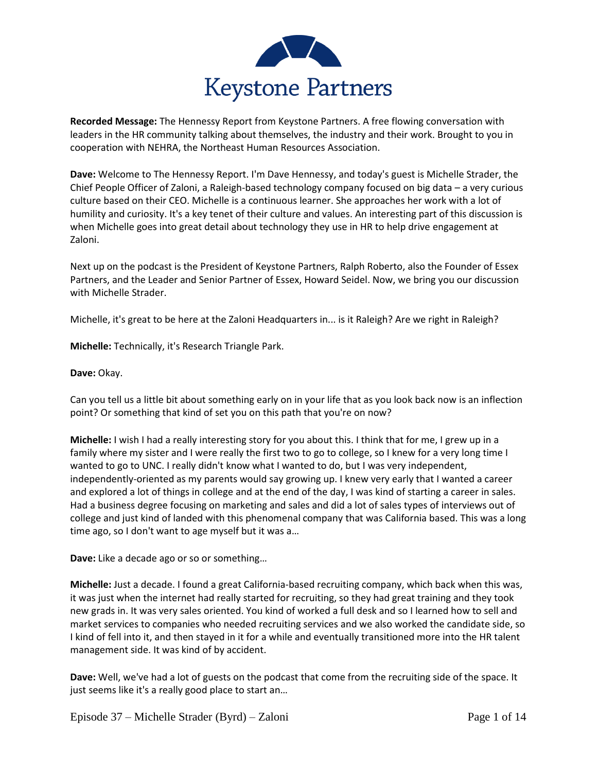

**Recorded Message:** The Hennessy Report from Keystone Partners. A free flowing conversation with leaders in the HR community talking about themselves, the industry and their work. Brought to you in cooperation with NEHRA, the Northeast Human Resources Association.

**Dave:** Welcome to The Hennessy Report. I'm Dave Hennessy, and today's guest is Michelle Strader, the Chief People Officer of Zaloni, a Raleigh-based technology company focused on big data – a very curious culture based on their CEO. Michelle is a continuous learner. She approaches her work with a lot of humility and curiosity. It's a key tenet of their culture and values. An interesting part of this discussion is when Michelle goes into great detail about technology they use in HR to help drive engagement at Zaloni.

Next up on the podcast is the President of Keystone Partners, Ralph Roberto, also the Founder of Essex Partners, and the Leader and Senior Partner of Essex, Howard Seidel. Now, we bring you our discussion with Michelle Strader.

Michelle, it's great to be here at the Zaloni Headquarters in... is it Raleigh? Are we right in Raleigh?

**Michelle:** Technically, it's Research Triangle Park.

## **Dave:** Okay.

Can you tell us a little bit about something early on in your life that as you look back now is an inflection point? Or something that kind of set you on this path that you're on now?

**Michelle:** I wish I had a really interesting story for you about this. I think that for me, I grew up in a family where my sister and I were really the first two to go to college, so I knew for a very long time I wanted to go to UNC. I really didn't know what I wanted to do, but I was very independent, independently-oriented as my parents would say growing up. I knew very early that I wanted a career and explored a lot of things in college and at the end of the day, I was kind of starting a career in sales. Had a business degree focusing on marketing and sales and did a lot of sales types of interviews out of college and just kind of landed with this phenomenal company that was California based. This was a long time ago, so I don't want to age myself but it was a…

**Dave:** Like a decade ago or so or something…

**Michelle:** Just a decade. I found a great California-based recruiting company, which back when this was, it was just when the internet had really started for recruiting, so they had great training and they took new grads in. It was very sales oriented. You kind of worked a full desk and so I learned how to sell and market services to companies who needed recruiting services and we also worked the candidate side, so I kind of fell into it, and then stayed in it for a while and eventually transitioned more into the HR talent management side. It was kind of by accident.

**Dave:** Well, we've had a lot of guests on the podcast that come from the recruiting side of the space. It just seems like it's a really good place to start an…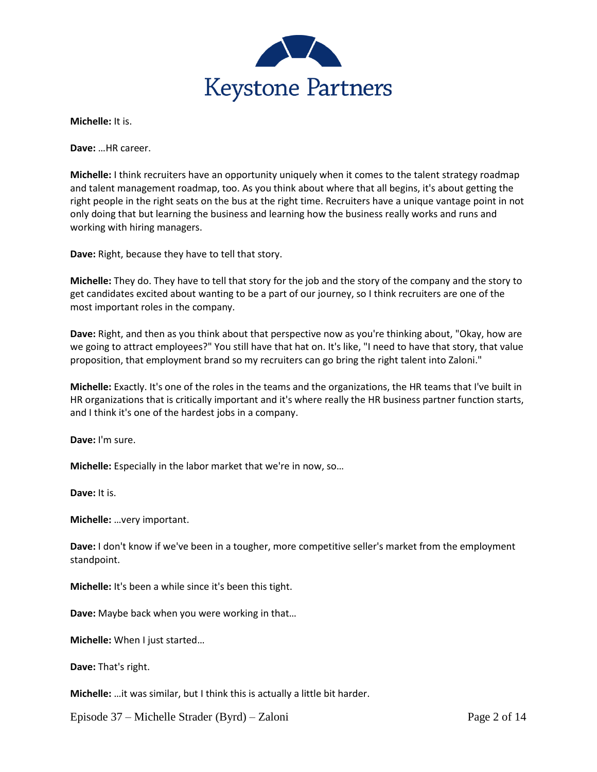

**Michelle:** It is.

**Dave:** …HR career.

**Michelle:** I think recruiters have an opportunity uniquely when it comes to the talent strategy roadmap and talent management roadmap, too. As you think about where that all begins, it's about getting the right people in the right seats on the bus at the right time. Recruiters have a unique vantage point in not only doing that but learning the business and learning how the business really works and runs and working with hiring managers.

**Dave:** Right, because they have to tell that story.

**Michelle:** They do. They have to tell that story for the job and the story of the company and the story to get candidates excited about wanting to be a part of our journey, so I think recruiters are one of the most important roles in the company.

**Dave:** Right, and then as you think about that perspective now as you're thinking about, "Okay, how are we going to attract employees?" You still have that hat on. It's like, "I need to have that story, that value proposition, that employment brand so my recruiters can go bring the right talent into Zaloni."

**Michelle:** Exactly. It's one of the roles in the teams and the organizations, the HR teams that I've built in HR organizations that is critically important and it's where really the HR business partner function starts, and I think it's one of the hardest jobs in a company.

**Dave:** I'm sure.

**Michelle:** Especially in the labor market that we're in now, so…

**Dave:** It is.

**Michelle:** …very important.

**Dave:** I don't know if we've been in a tougher, more competitive seller's market from the employment standpoint.

**Michelle:** It's been a while since it's been this tight.

**Dave:** Maybe back when you were working in that…

**Michelle:** When I just started…

**Dave:** That's right.

**Michelle:** …it was similar, but I think this is actually a little bit harder.

Episode 37 – Michelle Strader (Byrd) – Zaloni Page 2 of 14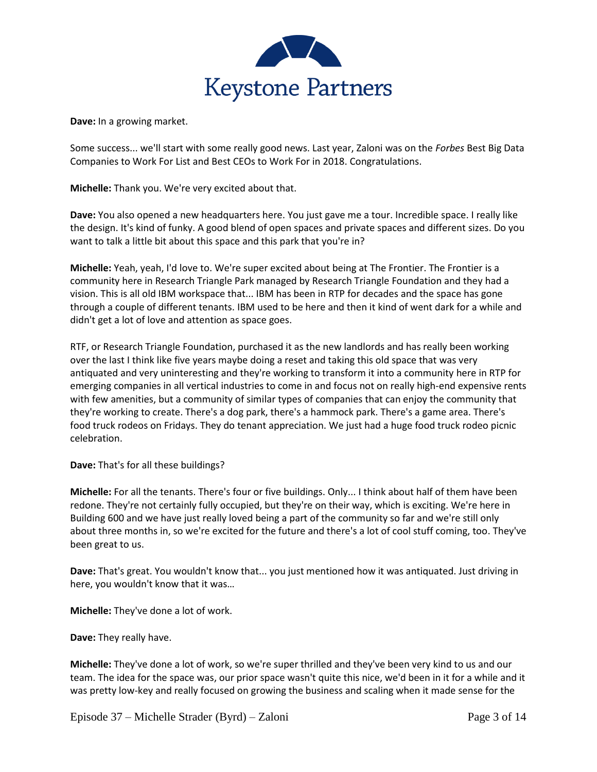

**Dave:** In a growing market.

Some success... we'll start with some really good news. Last year, Zaloni was on the *Forbes* Best Big Data Companies to Work For List and Best CEOs to Work For in 2018. Congratulations.

**Michelle:** Thank you. We're very excited about that.

**Dave:** You also opened a new headquarters here. You just gave me a tour. Incredible space. I really like the design. It's kind of funky. A good blend of open spaces and private spaces and different sizes. Do you want to talk a little bit about this space and this park that you're in?

**Michelle:** Yeah, yeah, I'd love to. We're super excited about being at The Frontier. The Frontier is a community here in Research Triangle Park managed by Research Triangle Foundation and they had a vision. This is all old IBM workspace that... IBM has been in RTP for decades and the space has gone through a couple of different tenants. IBM used to be here and then it kind of went dark for a while and didn't get a lot of love and attention as space goes.

RTF, or Research Triangle Foundation, purchased it as the new landlords and has really been working over the last I think like five years maybe doing a reset and taking this old space that was very antiquated and very uninteresting and they're working to transform it into a community here in RTP for emerging companies in all vertical industries to come in and focus not on really high-end expensive rents with few amenities, but a community of similar types of companies that can enjoy the community that they're working to create. There's a dog park, there's a hammock park. There's a game area. There's food truck rodeos on Fridays. They do tenant appreciation. We just had a huge food truck rodeo picnic celebration.

**Dave:** That's for all these buildings?

**Michelle:** For all the tenants. There's four or five buildings. Only... I think about half of them have been redone. They're not certainly fully occupied, but they're on their way, which is exciting. We're here in Building 600 and we have just really loved being a part of the community so far and we're still only about three months in, so we're excited for the future and there's a lot of cool stuff coming, too. They've been great to us.

**Dave:** That's great. You wouldn't know that... you just mentioned how it was antiquated. Just driving in here, you wouldn't know that it was…

**Michelle:** They've done a lot of work.

**Dave:** They really have.

**Michelle:** They've done a lot of work, so we're super thrilled and they've been very kind to us and our team. The idea for the space was, our prior space wasn't quite this nice, we'd been in it for a while and it was pretty low-key and really focused on growing the business and scaling when it made sense for the

Episode 37 – Michelle Strader (Byrd) – Zaloni Page 3 of 14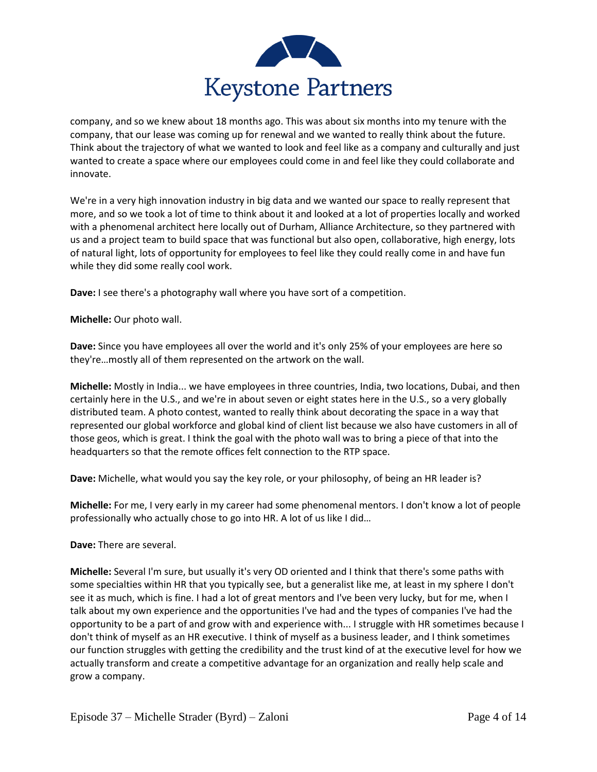

company, and so we knew about 18 months ago. This was about six months into my tenure with the company, that our lease was coming up for renewal and we wanted to really think about the future. Think about the trajectory of what we wanted to look and feel like as a company and culturally and just wanted to create a space where our employees could come in and feel like they could collaborate and innovate.

We're in a very high innovation industry in big data and we wanted our space to really represent that more, and so we took a lot of time to think about it and looked at a lot of properties locally and worked with a phenomenal architect here locally out of Durham, Alliance Architecture, so they partnered with us and a project team to build space that was functional but also open, collaborative, high energy, lots of natural light, lots of opportunity for employees to feel like they could really come in and have fun while they did some really cool work.

**Dave:** I see there's a photography wall where you have sort of a competition.

**Michelle:** Our photo wall.

**Dave:** Since you have employees all over the world and it's only 25% of your employees are here so they're…mostly all of them represented on the artwork on the wall.

**Michelle:** Mostly in India... we have employees in three countries, India, two locations, Dubai, and then certainly here in the U.S., and we're in about seven or eight states here in the U.S., so a very globally distributed team. A photo contest, wanted to really think about decorating the space in a way that represented our global workforce and global kind of client list because we also have customers in all of those geos, which is great. I think the goal with the photo wall was to bring a piece of that into the headquarters so that the remote offices felt connection to the RTP space.

**Dave:** Michelle, what would you say the key role, or your philosophy, of being an HR leader is?

**Michelle:** For me, I very early in my career had some phenomenal mentors. I don't know a lot of people professionally who actually chose to go into HR. A lot of us like I did…

**Dave:** There are several.

**Michelle:** Several I'm sure, but usually it's very OD oriented and I think that there's some paths with some specialties within HR that you typically see, but a generalist like me, at least in my sphere I don't see it as much, which is fine. I had a lot of great mentors and I've been very lucky, but for me, when I talk about my own experience and the opportunities I've had and the types of companies I've had the opportunity to be a part of and grow with and experience with... I struggle with HR sometimes because I don't think of myself as an HR executive. I think of myself as a business leader, and I think sometimes our function struggles with getting the credibility and the trust kind of at the executive level for how we actually transform and create a competitive advantage for an organization and really help scale and grow a company.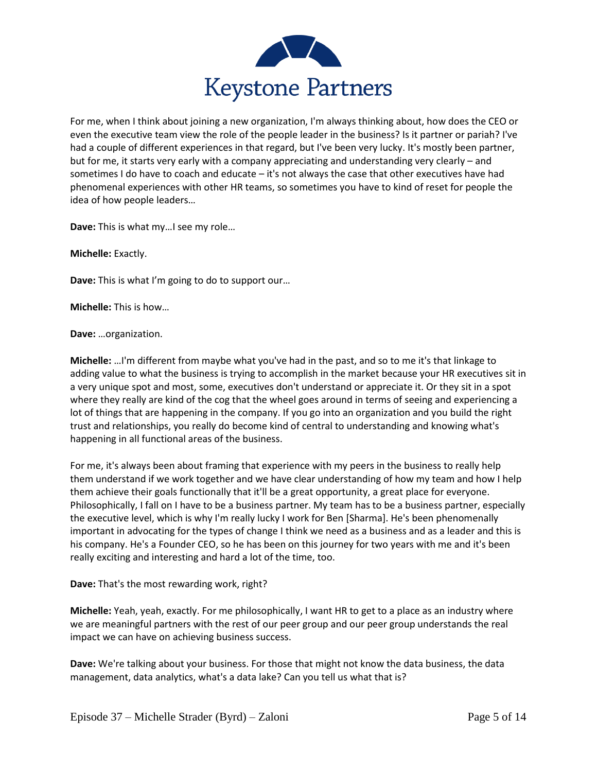

For me, when I think about joining a new organization, I'm always thinking about, how does the CEO or even the executive team view the role of the people leader in the business? Is it partner or pariah? I've had a couple of different experiences in that regard, but I've been very lucky. It's mostly been partner, but for me, it starts very early with a company appreciating and understanding very clearly – and sometimes I do have to coach and educate – it's not always the case that other executives have had phenomenal experiences with other HR teams, so sometimes you have to kind of reset for people the idea of how people leaders…

**Dave:** This is what my…I see my role…

**Michelle:** Exactly.

**Dave:** This is what I'm going to do to support our…

**Michelle:** This is how…

**Dave:** …organization.

**Michelle:** …I'm different from maybe what you've had in the past, and so to me it's that linkage to adding value to what the business is trying to accomplish in the market because your HR executives sit in a very unique spot and most, some, executives don't understand or appreciate it. Or they sit in a spot where they really are kind of the cog that the wheel goes around in terms of seeing and experiencing a lot of things that are happening in the company. If you go into an organization and you build the right trust and relationships, you really do become kind of central to understanding and knowing what's happening in all functional areas of the business.

For me, it's always been about framing that experience with my peers in the business to really help them understand if we work together and we have clear understanding of how my team and how I help them achieve their goals functionally that it'll be a great opportunity, a great place for everyone. Philosophically, I fall on I have to be a business partner. My team has to be a business partner, especially the executive level, which is why I'm really lucky I work for Ben [Sharma]. He's been phenomenally important in advocating for the types of change I think we need as a business and as a leader and this is his company. He's a Founder CEO, so he has been on this journey for two years with me and it's been really exciting and interesting and hard a lot of the time, too.

**Dave:** That's the most rewarding work, right?

**Michelle:** Yeah, yeah, exactly. For me philosophically, I want HR to get to a place as an industry where we are meaningful partners with the rest of our peer group and our peer group understands the real impact we can have on achieving business success.

**Dave:** We're talking about your business. For those that might not know the data business, the data management, data analytics, what's a data lake? Can you tell us what that is?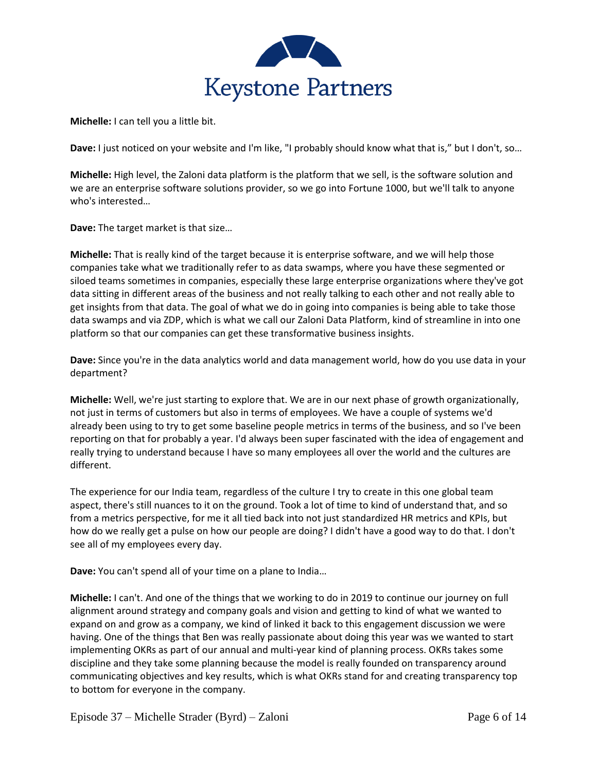

**Michelle:** I can tell you a little bit.

**Dave:** I just noticed on your website and I'm like, "I probably should know what that is," but I don't, so…

**Michelle:** High level, the Zaloni data platform is the platform that we sell, is the software solution and we are an enterprise software solutions provider, so we go into Fortune 1000, but we'll talk to anyone who's interested…

**Dave:** The target market is that size…

**Michelle:** That is really kind of the target because it is enterprise software, and we will help those companies take what we traditionally refer to as data swamps, where you have these segmented or siloed teams sometimes in companies, especially these large enterprise organizations where they've got data sitting in different areas of the business and not really talking to each other and not really able to get insights from that data. The goal of what we do in going into companies is being able to take those data swamps and via ZDP, which is what we call our Zaloni Data Platform, kind of streamline in into one platform so that our companies can get these transformative business insights.

**Dave:** Since you're in the data analytics world and data management world, how do you use data in your department?

**Michelle:** Well, we're just starting to explore that. We are in our next phase of growth organizationally, not just in terms of customers but also in terms of employees. We have a couple of systems we'd already been using to try to get some baseline people metrics in terms of the business, and so I've been reporting on that for probably a year. I'd always been super fascinated with the idea of engagement and really trying to understand because I have so many employees all over the world and the cultures are different.

The experience for our India team, regardless of the culture I try to create in this one global team aspect, there's still nuances to it on the ground. Took a lot of time to kind of understand that, and so from a metrics perspective, for me it all tied back into not just standardized HR metrics and KPIs, but how do we really get a pulse on how our people are doing? I didn't have a good way to do that. I don't see all of my employees every day.

**Dave:** You can't spend all of your time on a plane to India…

**Michelle:** I can't. And one of the things that we working to do in 2019 to continue our journey on full alignment around strategy and company goals and vision and getting to kind of what we wanted to expand on and grow as a company, we kind of linked it back to this engagement discussion we were having. One of the things that Ben was really passionate about doing this year was we wanted to start implementing OKRs as part of our annual and multi-year kind of planning process. OKRs takes some discipline and they take some planning because the model is really founded on transparency around communicating objectives and key results, which is what OKRs stand for and creating transparency top to bottom for everyone in the company.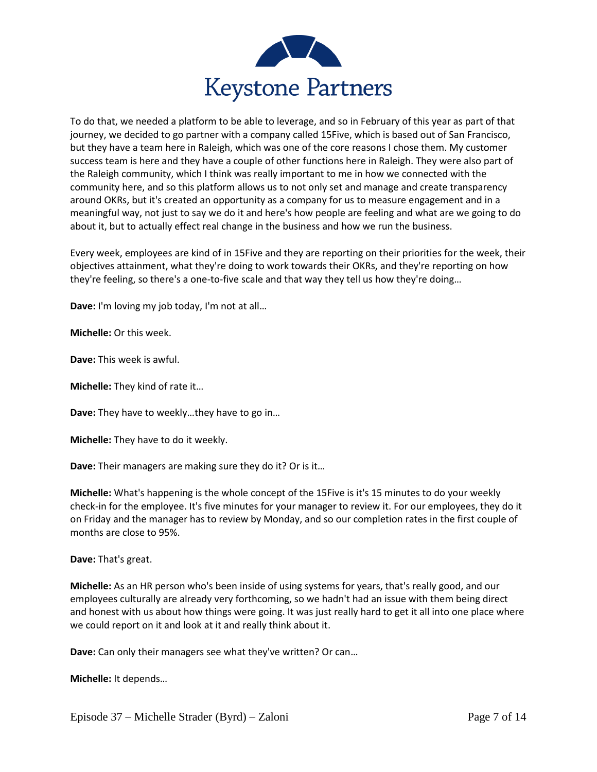

To do that, we needed a platform to be able to leverage, and so in February of this year as part of that journey, we decided to go partner with a company called 15Five, which is based out of San Francisco, but they have a team here in Raleigh, which was one of the core reasons I chose them. My customer success team is here and they have a couple of other functions here in Raleigh. They were also part of the Raleigh community, which I think was really important to me in how we connected with the community here, and so this platform allows us to not only set and manage and create transparency around OKRs, but it's created an opportunity as a company for us to measure engagement and in a meaningful way, not just to say we do it and here's how people are feeling and what are we going to do about it, but to actually effect real change in the business and how we run the business.

Every week, employees are kind of in 15Five and they are reporting on their priorities for the week, their objectives attainment, what they're doing to work towards their OKRs, and they're reporting on how they're feeling, so there's a one-to-five scale and that way they tell us how they're doing…

**Dave:** I'm loving my job today, I'm not at all…

**Michelle:** Or this week.

**Dave:** This week is awful.

**Michelle:** They kind of rate it…

**Dave:** They have to weekly…they have to go in…

**Michelle:** They have to do it weekly.

**Dave:** Their managers are making sure they do it? Or is it…

**Michelle:** What's happening is the whole concept of the 15Five is it's 15 minutes to do your weekly check-in for the employee. It's five minutes for your manager to review it. For our employees, they do it on Friday and the manager has to review by Monday, and so our completion rates in the first couple of months are close to 95%.

**Dave:** That's great.

**Michelle:** As an HR person who's been inside of using systems for years, that's really good, and our employees culturally are already very forthcoming, so we hadn't had an issue with them being direct and honest with us about how things were going. It was just really hard to get it all into one place where we could report on it and look at it and really think about it.

**Dave:** Can only their managers see what they've written? Or can…

**Michelle:** It depends…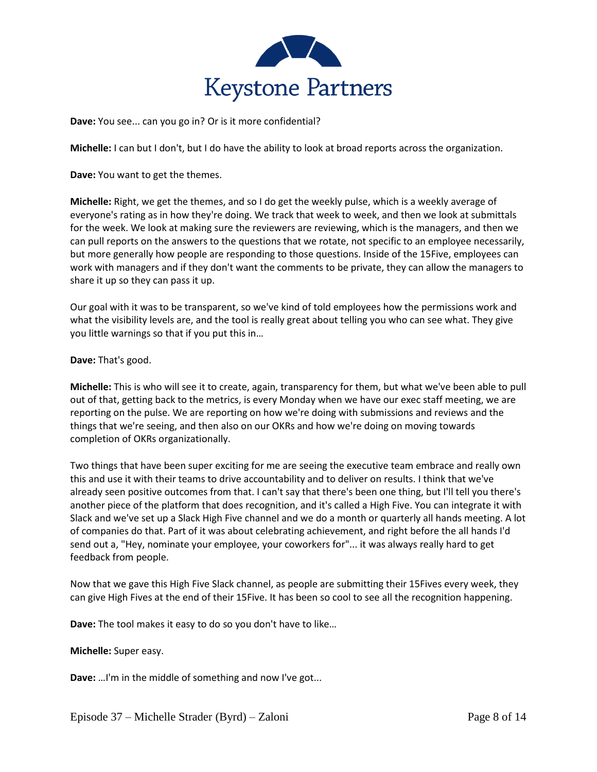

**Dave:** You see... can you go in? Or is it more confidential?

**Michelle:** I can but I don't, but I do have the ability to look at broad reports across the organization.

**Dave:** You want to get the themes.

**Michelle:** Right, we get the themes, and so I do get the weekly pulse, which is a weekly average of everyone's rating as in how they're doing. We track that week to week, and then we look at submittals for the week. We look at making sure the reviewers are reviewing, which is the managers, and then we can pull reports on the answers to the questions that we rotate, not specific to an employee necessarily, but more generally how people are responding to those questions. Inside of the 15Five, employees can work with managers and if they don't want the comments to be private, they can allow the managers to share it up so they can pass it up.

Our goal with it was to be transparent, so we've kind of told employees how the permissions work and what the visibility levels are, and the tool is really great about telling you who can see what. They give you little warnings so that if you put this in…

## **Dave:** That's good.

**Michelle:** This is who will see it to create, again, transparency for them, but what we've been able to pull out of that, getting back to the metrics, is every Monday when we have our exec staff meeting, we are reporting on the pulse. We are reporting on how we're doing with submissions and reviews and the things that we're seeing, and then also on our OKRs and how we're doing on moving towards completion of OKRs organizationally.

Two things that have been super exciting for me are seeing the executive team embrace and really own this and use it with their teams to drive accountability and to deliver on results. I think that we've already seen positive outcomes from that. I can't say that there's been one thing, but I'll tell you there's another piece of the platform that does recognition, and it's called a High Five. You can integrate it with Slack and we've set up a Slack High Five channel and we do a month or quarterly all hands meeting. A lot of companies do that. Part of it was about celebrating achievement, and right before the all hands I'd send out a, "Hey, nominate your employee, your coworkers for"... it was always really hard to get feedback from people.

Now that we gave this High Five Slack channel, as people are submitting their 15Fives every week, they can give High Fives at the end of their 15Five. It has been so cool to see all the recognition happening.

**Dave:** The tool makes it easy to do so you don't have to like…

## **Michelle:** Super easy.

**Dave:** …I'm in the middle of something and now I've got...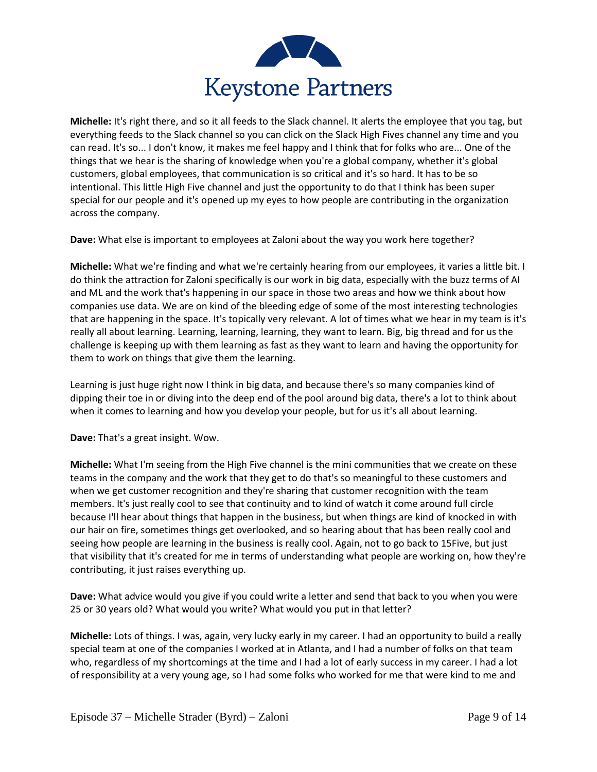

**Michelle:** It's right there, and so it all feeds to the Slack channel. It alerts the employee that you tag, but everything feeds to the Slack channel so you can click on the Slack High Fives channel any time and you can read. It's so... I don't know, it makes me feel happy and I think that for folks who are... One of the things that we hear is the sharing of knowledge when you're a global company, whether it's global customers, global employees, that communication is so critical and it's so hard. It has to be so intentional. This little High Five channel and just the opportunity to do that I think has been super special for our people and it's opened up my eyes to how people are contributing in the organization across the company.

**Dave:** What else is important to employees at Zaloni about the way you work here together?

**Michelle:** What we're finding and what we're certainly hearing from our employees, it varies a little bit. I do think the attraction for Zaloni specifically is our work in big data, especially with the buzz terms of AI and ML and the work that's happening in our space in those two areas and how we think about how companies use data. We are on kind of the bleeding edge of some of the most interesting technologies that are happening in the space. It's topically very relevant. A lot of times what we hear in my team is it's really all about learning. Learning, learning, learning, they want to learn. Big, big thread and for us the challenge is keeping up with them learning as fast as they want to learn and having the opportunity for them to work on things that give them the learning.

Learning is just huge right now I think in big data, and because there's so many companies kind of dipping their toe in or diving into the deep end of the pool around big data, there's a lot to think about when it comes to learning and how you develop your people, but for us it's all about learning.

**Dave:** That's a great insight. Wow.

**Michelle:** What I'm seeing from the High Five channel is the mini communities that we create on these teams in the company and the work that they get to do that's so meaningful to these customers and when we get customer recognition and they're sharing that customer recognition with the team members. It's just really cool to see that continuity and to kind of watch it come around full circle because I'll hear about things that happen in the business, but when things are kind of knocked in with our hair on fire, sometimes things get overlooked, and so hearing about that has been really cool and seeing how people are learning in the business is really cool. Again, not to go back to 15Five, but just that visibility that it's created for me in terms of understanding what people are working on, how they're contributing, it just raises everything up.

**Dave:** What advice would you give if you could write a letter and send that back to you when you were 25 or 30 years old? What would you write? What would you put in that letter?

**Michelle:** Lots of things. I was, again, very lucky early in my career. I had an opportunity to build a really special team at one of the companies I worked at in Atlanta, and I had a number of folks on that team who, regardless of my shortcomings at the time and I had a lot of early success in my career. I had a lot of responsibility at a very young age, so I had some folks who worked for me that were kind to me and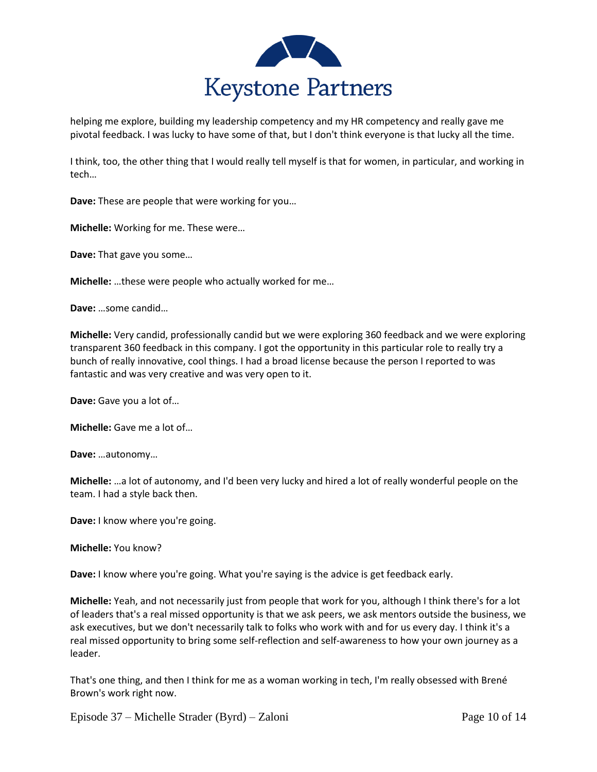

helping me explore, building my leadership competency and my HR competency and really gave me pivotal feedback. I was lucky to have some of that, but I don't think everyone is that lucky all the time.

I think, too, the other thing that I would really tell myself is that for women, in particular, and working in tech…

**Dave:** These are people that were working for you…

**Michelle:** Working for me. These were…

**Dave:** That gave you some…

**Michelle:** …these were people who actually worked for me…

**Dave:** …some candid…

**Michelle:** Very candid, professionally candid but we were exploring 360 feedback and we were exploring transparent 360 feedback in this company. I got the opportunity in this particular role to really try a bunch of really innovative, cool things. I had a broad license because the person I reported to was fantastic and was very creative and was very open to it.

**Dave:** Gave you a lot of…

**Michelle:** Gave me a lot of…

**Dave:** …autonomy…

**Michelle:** …a lot of autonomy, and I'd been very lucky and hired a lot of really wonderful people on the team. I had a style back then.

**Dave:** I know where you're going.

**Michelle:** You know?

**Dave:** I know where you're going. What you're saying is the advice is get feedback early.

**Michelle:** Yeah, and not necessarily just from people that work for you, although I think there's for a lot of leaders that's a real missed opportunity is that we ask peers, we ask mentors outside the business, we ask executives, but we don't necessarily talk to folks who work with and for us every day. I think it's a real missed opportunity to bring some self-reflection and self-awareness to how your own journey as a leader.

That's one thing, and then I think for me as a woman working in tech, I'm really obsessed with Brené Brown's work right now.

Episode 37 – Michelle Strader (Byrd) – Zaloni Page 10 of 14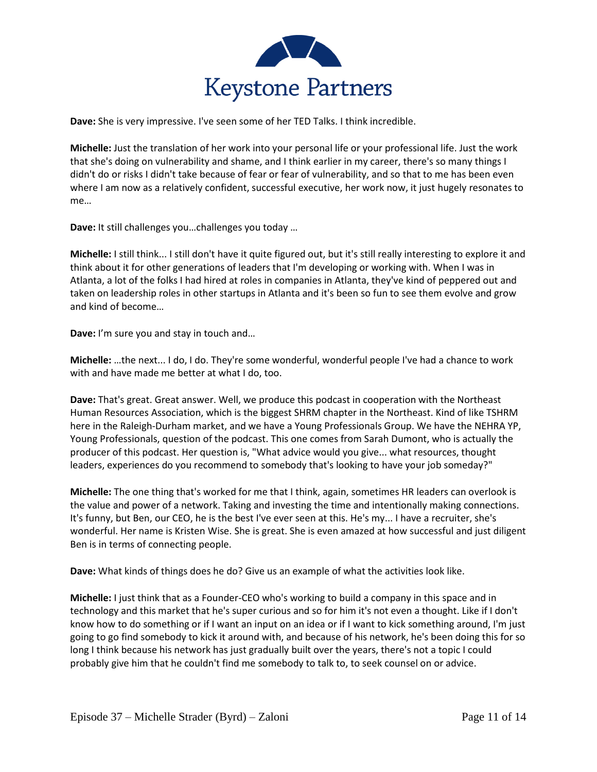

**Dave:** She is very impressive. I've seen some of her TED Talks. I think incredible.

**Michelle:** Just the translation of her work into your personal life or your professional life. Just the work that she's doing on vulnerability and shame, and I think earlier in my career, there's so many things I didn't do or risks I didn't take because of fear or fear of vulnerability, and so that to me has been even where I am now as a relatively confident, successful executive, her work now, it just hugely resonates to me…

**Dave:** It still challenges you…challenges you today …

**Michelle:** I still think... I still don't have it quite figured out, but it's still really interesting to explore it and think about it for other generations of leaders that I'm developing or working with. When I was in Atlanta, a lot of the folks I had hired at roles in companies in Atlanta, they've kind of peppered out and taken on leadership roles in other startups in Atlanta and it's been so fun to see them evolve and grow and kind of become…

**Dave:** I'm sure you and stay in touch and…

**Michelle:** …the next... I do, I do. They're some wonderful, wonderful people I've had a chance to work with and have made me better at what I do, too.

**Dave:** That's great. Great answer. Well, we produce this podcast in cooperation with the Northeast Human Resources Association, which is the biggest SHRM chapter in the Northeast. Kind of like TSHRM here in the Raleigh-Durham market, and we have a Young Professionals Group. We have the NEHRA YP, Young Professionals, question of the podcast. This one comes from Sarah Dumont, who is actually the producer of this podcast. Her question is, "What advice would you give... what resources, thought leaders, experiences do you recommend to somebody that's looking to have your job someday?"

**Michelle:** The one thing that's worked for me that I think, again, sometimes HR leaders can overlook is the value and power of a network. Taking and investing the time and intentionally making connections. It's funny, but Ben, our CEO, he is the best I've ever seen at this. He's my... I have a recruiter, she's wonderful. Her name is Kristen Wise. She is great. She is even amazed at how successful and just diligent Ben is in terms of connecting people.

**Dave:** What kinds of things does he do? Give us an example of what the activities look like.

**Michelle:** I just think that as a Founder-CEO who's working to build a company in this space and in technology and this market that he's super curious and so for him it's not even a thought. Like if I don't know how to do something or if I want an input on an idea or if I want to kick something around, I'm just going to go find somebody to kick it around with, and because of his network, he's been doing this for so long I think because his network has just gradually built over the years, there's not a topic I could probably give him that he couldn't find me somebody to talk to, to seek counsel on or advice.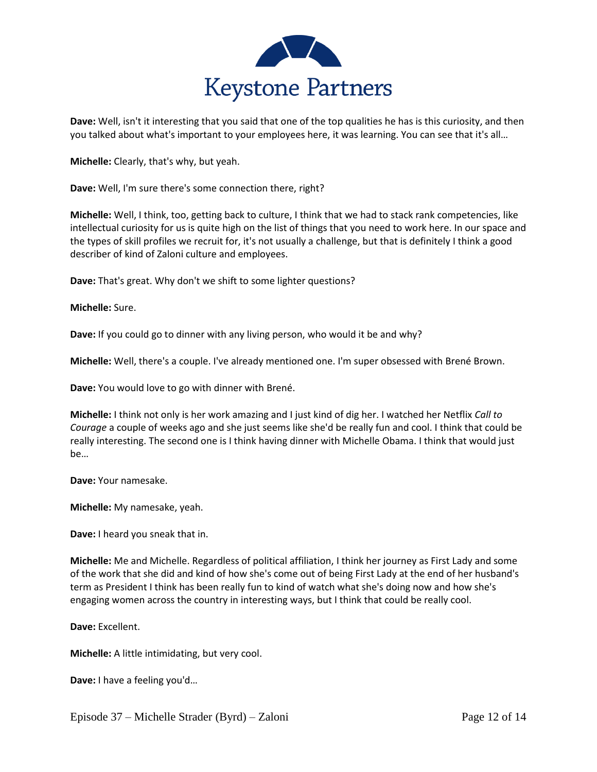

**Dave:** Well, isn't it interesting that you said that one of the top qualities he has is this curiosity, and then you talked about what's important to your employees here, it was learning. You can see that it's all…

**Michelle:** Clearly, that's why, but yeah.

**Dave:** Well, I'm sure there's some connection there, right?

**Michelle:** Well, I think, too, getting back to culture, I think that we had to stack rank competencies, like intellectual curiosity for us is quite high on the list of things that you need to work here. In our space and the types of skill profiles we recruit for, it's not usually a challenge, but that is definitely I think a good describer of kind of Zaloni culture and employees.

**Dave:** That's great. Why don't we shift to some lighter questions?

## **Michelle:** Sure.

**Dave:** If you could go to dinner with any living person, who would it be and why?

**Michelle:** Well, there's a couple. I've already mentioned one. I'm super obsessed with Brené Brown.

**Dave:** You would love to go with dinner with Brené.

**Michelle:** I think not only is her work amazing and I just kind of dig her. I watched her Netflix *Call to Courage* a couple of weeks ago and she just seems like she'd be really fun and cool. I think that could be really interesting. The second one is I think having dinner with Michelle Obama. I think that would just be…

**Dave:** Your namesake.

**Michelle:** My namesake, yeah.

**Dave:** I heard you sneak that in.

**Michelle:** Me and Michelle. Regardless of political affiliation, I think her journey as First Lady and some of the work that she did and kind of how she's come out of being First Lady at the end of her husband's term as President I think has been really fun to kind of watch what she's doing now and how she's engaging women across the country in interesting ways, but I think that could be really cool.

**Dave:** Excellent.

**Michelle:** A little intimidating, but very cool.

**Dave:** I have a feeling you'd…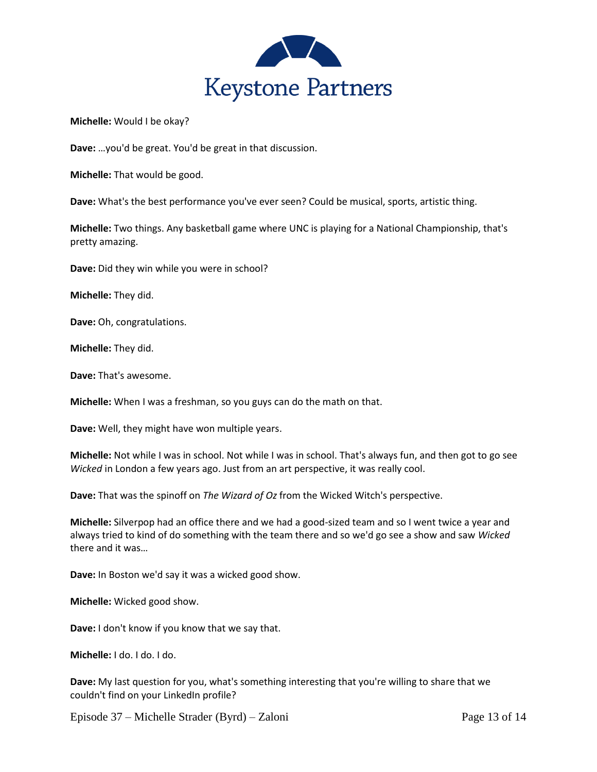

**Michelle:** Would I be okay?

**Dave:** …you'd be great. You'd be great in that discussion.

**Michelle:** That would be good.

**Dave:** What's the best performance you've ever seen? Could be musical, sports, artistic thing.

**Michelle:** Two things. Any basketball game where UNC is playing for a National Championship, that's pretty amazing.

**Dave:** Did they win while you were in school?

**Michelle:** They did.

**Dave:** Oh, congratulations.

**Michelle:** They did.

**Dave:** That's awesome.

**Michelle:** When I was a freshman, so you guys can do the math on that.

**Dave:** Well, they might have won multiple years.

**Michelle:** Not while I was in school. Not while I was in school. That's always fun, and then got to go see *Wicked* in London a few years ago. Just from an art perspective, it was really cool.

**Dave:** That was the spinoff on *The Wizard of Oz* from the Wicked Witch's perspective.

**Michelle:** Silverpop had an office there and we had a good-sized team and so I went twice a year and always tried to kind of do something with the team there and so we'd go see a show and saw *Wicked* there and it was…

**Dave:** In Boston we'd say it was a wicked good show.

**Michelle:** Wicked good show.

**Dave:** I don't know if you know that we say that.

**Michelle:** I do. I do. I do.

**Dave:** My last question for you, what's something interesting that you're willing to share that we couldn't find on your LinkedIn profile?

Episode 37 – Michelle Strader (Byrd) – Zaloni Page 13 of 14